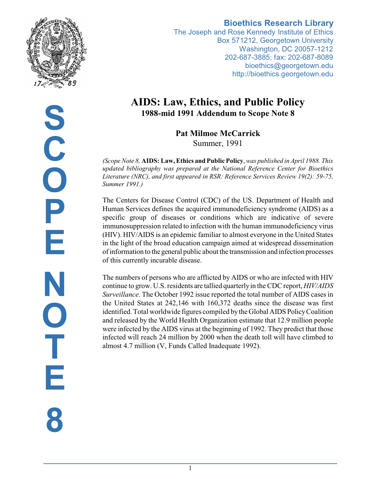

### **Bioethics Research Library**

The Joseph and Rose Kennedy Institute of Ethics Box 571212, Georgetown University Washington, DC 20057-1212 202-687-3885; fax: 202-687-8089 bioethics@georgetown.edu http://bioethics.georgetown.edu

# **AIDS: Law, Ethics, and Public Policy 1988-mid 1991 Addendum to Scope Note 8**

**Pat Milmoe McCarrick** Summer, 1991

*(Scope Note 8,* **AIDS: Law, Ethics and Public Policy**, *was published in April 1988. This updated bibliography was prepared at the National Reference Center for Bioethics Literature (NRC), and first appeared in RSR: Reference Services Review 19(2): 59-75, Summer 1991.)*

The Centers for Disease Control (CDC) of the US. Department of Health and Human Services defines the acquired immunodeficiency syndrome (AIDS) as a specific group of diseases or conditions which are indicative of severe immunosuppression related to infection with the human immunodeficiency virus (HIV). HIV/AIDS is an epidemic familiar to almost everyone in the United States in the light of the broad education campaign aimed at widespread dissemination of information to the general public about the transmission and infection processes of this currently incurable disease.

The numbers of persons who are afflicted by AIDS or who are infected with HIV continue to grow. U.S. residents are tallied quarterlyin the CDC report, *HIV/AIDS Surveillance*. The October 1992 issue reported the total number of AIDS cases in the United States at 242,146 with 160,372 deaths since the disease was first identified. Total worldwide figures compiled bythe Global AIDS PolicyCoalition and released by the World Health Organization estimate that 12.9 million people were infected by the AIDS virus at the beginning of 1992. They predict that those infected will reach 24 million by 2000 when the death toll will have climbed to almost 4.7 million (V, Funds Called Inadequate 1992).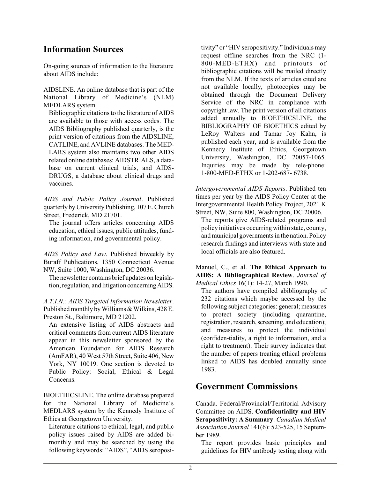## **Information Sources**

On-going sources of information to the literature about AIDS include:

AIDSLINE. An online database that is part of the National Library of Medicine's (NLM) MEDLARS system.

Bibliographic citations to the literature of AIDS are available to those with access codes. The AIDS Bibliography published quarterly, is the print version of citations from the AIDSLINE, CATLINE, and AVLINE databases. The MED-LARS system also maintains two other AIDS related online databases: AIDSTRIALS, a database on current clinical trials, and AIDS-DRUGS, a database about clinical drugs and vaccines.

*AIDS and Public Policy Journal*. Published quarterly by University Publishing, 107 E. Church Street, Frederick, MD 21701.

The journal offers articles concerning AIDS education, ethical issues, public attitudes, funding information, and governmental policy.

*AIDS Policy and Law*. Published biweekly by Buraff Publications, 1350 Connecticut Avenue NW, Suite 1000, Washington, DC 20036.

The newsletter contains brief updates on legislation, regulation, and litigation concerningAIDS.

*A.T.I.N.: AIDS Targeted Information Newsletter*. Published monthly by Williams & Wilkins, 428 E. Preston St., Baltimore, MD 21202.

An extensive listing of AIDS abstracts and critical comments from current AIDS literature appear in this newsletter sponsored by the American Foundation for AIDS Research (AmFAR), 40 West 57th Street, Suite 406, New York, NY 10019. One section is devoted to Public Policy: Social, Ethical & Legal Concerns.

BIOETHICSLINE. The online database prepared for the National Library of Medicine's MEDLARS system by the Kennedy Institute of Ethics at Georgetown University.

Literature citations to ethical, legal, and public policy issues raised by AIDS are added bimonthly and may be searched by using the following keywords: "AIDS", "AIDS seropositivity" or "HIV seropositivity." Individuals may request offline searches from the NRC (1- 800-MED-ETHX) and printouts of bibliographic citations will be mailed directly from the NLM. If the texts of articles cited are not available locally, photocopies may be obtained through the Document Delivery Service of the NRC in compliance with copyright law. The print version of all citations added annually to BIOETHICSLINE, the BIBLIOGRAPHY OF BIOETHICS edited by LeRoy Walters and Tamar Joy Kahn, is published each year, and is available from the Kennedy Institute of Ethics, Georgetown University, Washington, DC 20057-1065. Inquiries may be made by tele-phone: 1-800-MED-ETHX or 1-202-687- 6738.

*Intergovernmental AIDS Reports*. Published ten times per year by the AIDS Policy Center at the Intergovernmental Health Policy Project, 2021 K Street, NW, Suite 800, Washington, DC 20006.

The reports give AIDS-related programs and policy initiatives occurring within state, county, and municipal governments in the nation. Policy research findings and interviews with state and local officials are also featured.

Manuel, C., et al. **The Ethical Approach to AIDS: A Bibliographical Review**. *Journal of Medical Ethics* 16(1): 14-27, March 1990.

The authors have compiled abibliography of 232 citations which maybe accessed by the following subject categories: general; measures to protect society (including quarantine, registration, research, screening, and education); and measures to protect the individual (confiden-tiality, a right to information, and a right to treatment). Their survey indicates that the number of papers treating ethical problems linked to AIDS has doubled annually since 1983.

## **Government Commissions**

Canada. Federal/Provincial/Territorial Advisory Committee on AIDS. **Confidentiality and HIV Seropositivity: A Summary**. *Canadian Medical Association Journal* 141(6): 523-525, 15 September 1989.

The report provides basic principles and guidelines for HIV antibody testing along with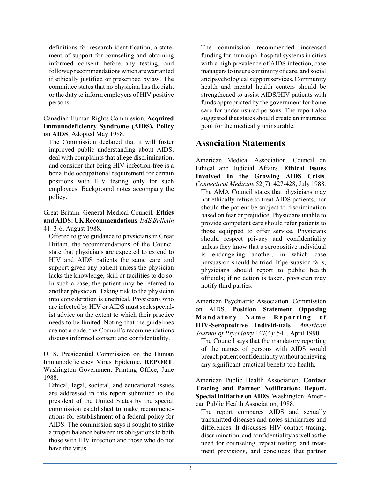definitions for research identification, a statement of support for counseling and obtaining informed consent before any testing, and followup recommendationswhich arewarranted if ethically justified or prescribed bylaw. The committee states that no physician has the right or the duty to inform employers of HIV positive persons.

Canadian Human Rights Commission. **Acquired Immunodeficiency Syndrome (AIDS). Policy on AIDS**. Adopted May 1988.

The Commission declared that it will foster improved public understanding about AIDS, deal with complaints that allege discrimination, and consider that being HIV-infection-free is a bona fide occupational requirement for certain positions with HIV testing only for such employees. Background notes accompany the policy.

Great Britain. General Medical Council. **Ethics and AIDS: UKRecommendations**. *IME Bulletin* 41: 3-6, August 1988.

Offered to give guidance to physicians in Great Britain, the recommendations of the Council state that physicians are expected to extend to HIV and AIDS patients the same care and support given any patient unless the physician lacks the knowledge, skill or facilities to do so. In such a case, the patient may be referred to another physician. Taking risk to the physician into consideration is unethical. Physicians who are infected by HIV or AIDS must seek specialist advice on the extent to which their practice needs to be limited. Noting that the guidelines are not a code, the Council's recommendations discuss informed consent and confidentiality.

U. S. Presidential Commission on the Human Immunodeficiency Virus Epidemic. **REPORT**. Washington Government Printing Office, June 1988.

Ethical, legal, societal, and educational issues are addressed in this report submitted to the president of the United States by the special commission established to make recommendations for establishment of a federal policy for AIDS. The commission says it sought to strike a proper balance between its obligations to both those with HIV infection and those who do not have the virus.

The commission recommended increased funding for municipal hospital systems in cities with a high prevalence of AIDS infection, case managers to insure continuity of care, and social and psychological support services. Community health and mental health centers should be strengthened to assist AIDS/HIV patients with funds appropriated by the government for home care for underinsured persons. The report also suggested that states should create an insurance pool for the medically uninsurable.

### **Association Statements**

American Medical Association. Council on Ethical and Judicial Affairs. **Ethical Issues Involved In the Growing AIDS Crisis**. *Connecticut Medicine* 52(7): 427-428, July 1988.

The AMA Council states that physicians may not ethically refuse to treat AIDS patients, nor should the patient be subject to discrimination based on fear or prejudice. Physicians unable to provide competent care should refer patients to those equipped to offer service. Physicians should respect privacy and confidentiality unless they know that a seropositive individual is endangering another, in which case persuasion should be tried. If persuasion fails, physicians should report to public health officials; if no action is taken, physician may notify third parties.

American Psychiatric Association. Commission on AIDS. **Position Statement Opposing M a n d a t o r y N a m e R e p o r ti n g o f HIV-Seropositive Individ-uals**. *American Journal of Psychiatry* 147(4): 541, April 1990.

The Council says that the mandatory reporting of the names of persons with AIDS would breach patient confidentialitywithout achieving any significant practical benefit top health.

American Public Health Association. **Contact Tracing and Partner Notification: Report. Special Initiative on AIDS**. Washington: American Public Health Association, 1988.

The report compares AIDS and sexually transmitted diseases and notes similarities and differences. It discusses HIV contact tracing, discrimination, and confidentiality as well as the need for counseling, repeat testing, and treatment provisions, and concludes that partner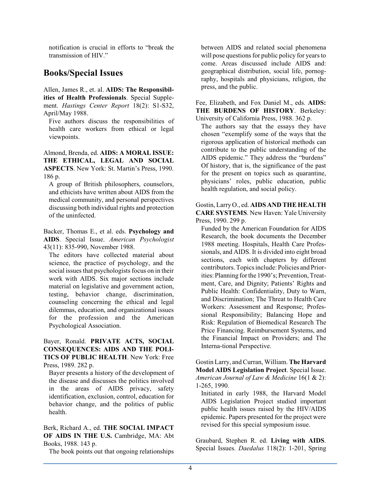notification is crucial in efforts to "break the transmission of HIV."

## **Books/Special Issues**

Allen, James R., et. al. **AIDS: The Responsibilities of Health Professionals**. Special Supplement. *Hastings Center Report* 18(2): S1-S32, April/May 1988.

Five authors discuss the responsibilities of health care workers from ethical or legal viewpoints.

Almond, Brenda, ed. **AIDS: A MORAL ISSUE: THE ETHICAL, LEGAL AND SOCIAL ASPECTS**. New York: St. Martin's Press, 1990. 186 p.

A group of British philosophers, counselors, and ethicists have written about AIDS from the medical community, and personal perspectives discussing both individual rights and protection of the uninfected.

Backer, Thomas E., et al. eds. **Psychology and AIDS**. Special Issue. *American Psychologist* 43(11): 835-990, November 1988.

The editors have collected material about science, the practice of psychology, and the social issues that psychologists focus on in their work with AIDS. Six major sections include material on legislative and government action, testing, behavior change, discrimination, counseling concerning the ethical and legal dilemmas, education, and organizational issues for the profession and the American Psychological Association.

Bayer, Ronald. **PRIVATE ACTS, SOCIAL CONSEQUENCES: AIDS AND THE POLI-TICS OF PUBLIC HEALTH**. New York: Free Press, 1989. 282 p.

Bayer presents a history of the development of the disease and discusses the politics involved in the areas of AIDS privacy, safety identification, exclusion, control, education for behavior change, and the politics of public health.

Berk, Richard A., ed. **THE SOCIAL IMPACT OF AIDS IN THE U.S.** Cambridge, MA: Abt Books, 1988. 143 p.

The book points out that ongoing relationships

between AIDS and related social phenomena will pose questions for public policy for years to come. Areas discussed include AIDS and: geographical distribution, social life, pornography, hospitals and physicians, religion, the press, and the public.

Fee, Elizabeth, and Fox Daniel M., eds. **AIDS: THE BURDENS OF HISTORY**. Berkeley: University of California Press, 1988. 362 p.

The authors say that the essays they have chosen "exemplify some of the ways that the rigorous application of historical methods can contribute to the public understanding of the AIDS epidemic." They address the "burdens" Of history, that is, the significance of the past for the present on topics such as quarantine, physicians' roles, public education, public health regulation, and social policy.

Gostin, Larry O., ed. **AIDS AND THE HEALTH CARE SYSTEMS**. New Haven: Yale University Press, 1990. 299 p.

Funded by the American Foundation for AIDS Research, the book documents the December 1988 meeting. Hospitals, Health Care Professionals, and AIDS. It is divided into eight broad sections, each with chapters by different contributors. Topics include: Policies and Priorities: Planning for the 1990's; Prevention, Treatment, Care, and Dignity; Patients' Rights and Public Health: Confidentiality, Duty to Warn, and Discrimination; The Threat to Health Care Workers: Assessment and Response; Professional Responsibility; Balancing Hope and Risk: Regulation of Biomedical Research The Price Financing. Reimbursement Systems, and the Financial Impact on Providers; and The Interna-tional Perspective.

Gostin Larry, and Curran, William. **The Harvard Model AIDS Legislation Project**. Special Issue. *American Journal of Law & Medicine* 16(1 & 2): 1-265, 1990.

Initiated in early 1988, the Harvard Model AIDS Legislation Project studied important public health issues raised by the HIV/AIDS epidemic. Papers presented for the project were revised for this special symposium issue.

Graubard, Stephen R. ed. **Living with AIDS**. Special Issues. *Daedalus* 118(2): 1-201, Spring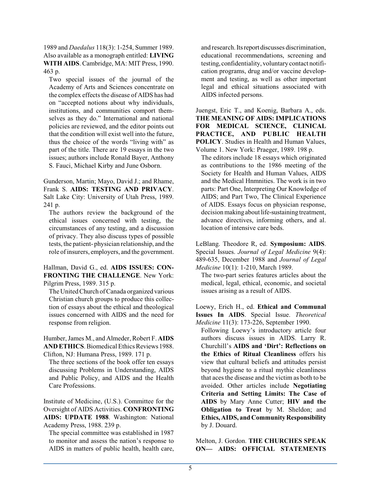1989 and *Daedalus* 118(3): 1-254, Summer 1989. Also available as a monograph entitled: **LIVING WITH AIDS**. Cambridge, MA: MIT Press, 1990. 463 p.

Two special issues of the journal of the Academy of Arts and Sciences concentrate on the complex effects the disease of AIDS has had on "accepted notions about why individuals, institutions, and communities comport themselves as they do." International and national policies are reviewed, and the editor points out that the condition will exist well into the future, thus the choice of the words "living with" as part of the title. There are 19 essays in the two issues; authors include Ronald Bayer, Anthony S. Fauci, Michael Kirby and June Osborn.

Gunderson, Martin; Mayo, David J.; and Rhame, Frank S. **AIDS: TESTING AND PRIVACY**. Salt Lake City: University of Utah Press, 1989. 241 p.

The authors review the background of the ethical issues concerned with testing, the circumstances of any testing, and a discussion of privacy. They also discuss types of possible tests, the patient- physician relationship, and the role of insurers, employers, and the government.

Hallman, David G., ed. **AIDS ISSUES: CON-FRONTING THE CHALLENGE**. New York: Pilgrim Press, 1989. 315 p.

The United Church of Canada organized various Christian church groups to produce this collection of essays about the ethical and theological issues concerned with AIDS and the need for response from religion.

Humber, James M., and Almeder, Robert F. **AIDS AND ETHICS**. Biomedical Ethics Reviews 1988. Clifton, NJ: Humana Press, 1989. 171 p.

The three sections of the book offer ten essays discussing Problems in Understanding, AIDS and Public Policy, and AIDS and the Health Care Professions.

Institute of Medicine, (U.S.). Committee for the Oversight of AIDS Activities. **CONFRONTING AIDS: UPDATE 1988**. Washington: National Academy Press, 1988. 239 p.

The special committee was established in 1987 to monitor and assess the nation's response to AIDS in matters of public health, health care, and research. Its report discusses discrimination, educational recommendations, screening and testing, confidentiality, voluntary contact notification programs, drug and/or vaccine development and testing, as well as other important legal and ethical situations associated with AIDS infected persons.

Juengst, Eric T., and Koenig, Barbara A., eds. **THE MEANING OF AIDS: IMPLICATIONS FOR MEDICAL SCIENCE, CLINICAL PRACTICE, AND PUBLIC HEALTH POLICY**. Studies in Health and Human Values, Volume 1. New York: Praeger, 1989. 198 p.

The editors include 18 essays which originated as contributions to the 1986 meeting of the Society for Health and Human Values, AIDS and the Medical Hnmnities. The work is in two parts: Part One, Interpreting Our Knowledge of AIDS; and Part Two, The Clinical Experience of AIDS. Essays focus on physician response, decision making about life-sustaining treatment, advance directives, informing others, and al. location of intensive care beds.

LeBlang. Theodore R, ed. **Symposium: AIDS**. Special Issues. *Journal of Legal Medicine* 9(4): 489-635, December 1988 and *Journal of Legal Medicine* 10(1): 1-210, March 1989.

The two-part series features articles about the medical, legal, ethical, economic, and societal issues arising as a result of AIDS.

Loewy, Erich H., ed. **Ethical and Communal Issues In AIDS**. Special Issue. *Theoretical Medicine* 11(3): 173-226, September 1990.

Following Loewy's introductory article four authors discuss issues in AIDS. Larry R. Churchill's **AIDS and 'Dirt': Reflections on the Ethics of Ritual Cleanliness** offers his view that cultural beliefs and attitudes persist beyond hygiene to a ritual mythic cleanliness that aces the disease and the victim as both to be avoided. Other articles include **Negotiating Criteria and Setting Limits: The Case of AIDS** by Mary Anne Cutter; **HIV and the Obligation to Treat** by M. Sheldon; and **Ethics, AIDS, and Community Responsibility** by J. Douard.

Melton, J. Gordon. **THE CHURCHES SPEAK ON— AIDS: OFFICIAL STATEMENTS**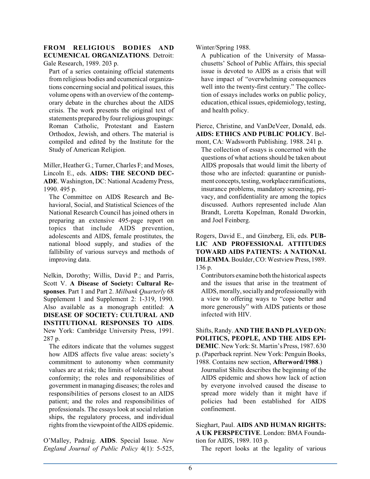### **FROM RELIGIOUS BODIES AND ECUMENICAL ORGANIZATIONS**. Detroit:

Gale Research, 1989. 203 p.

Part of a series containing official statements from religious bodies and ecumenical organizations concerning social and political issues, this volume opens with an overview of the contemporary debate in the churches about the AIDS crisis. The work presents the original text of statements prepared by four religious groupings: Roman Catholic, Protestant and Eastern Orthodox, Jewish, and others. The material is compiled and edited by the Institute for the Study of American Religion.

Miller, Heather G.; Turner, Charles F; and Moses, Lincoln E., eds. **AIDS: THE SECOND DEC-ADE**. Washington, DC: National Academy Press, 1990. 495 p.

The Committee on AIDS Research and Behavioral, Social, and Statistical Sciences of the National Research Council has joined others in preparing an extensive 495-page report on topics that include AIDS prevention, adolescents and AIDS, female prostitutes, the national blood supply, and studies of the fallibility of various surveys and methods of improving data.

Nelkin, Dorothy; Willis, David P.; and Parris, Scott V. **A Disease of Society: Cultural Responses**. Part 1 and Part 2. *Milbank Quarterly* 68 Supplement 1 and Supplement 2: 1-319, 1990. Also available as a monograph entitled: **A DISEASE OF SOCIETY: CULTURAL AND INSTITUTIONAL RESPONSES TO AIDS**. New York: Cambridge University Press, 1991. 287 p.

The editors indicate that the volumes suggest how AIDS affects five value areas: society's commitment to autonomy when community values are at risk; the limits of tolerance about conformity; the roles and responsibilities of government in managing diseases; the roles and responsibilities of persons closest to an AIDS patient; and the roles and responsibilities of professionals. The essays look at social relation ships, the regulatory process, and individual rights from the viewpoint of the AIDS epidemic.

O'Malley, Padraig. **AIDS**. Special Issue. *New England Journal of Public Policy* 4(1): 5-525, Winter/Spring 1988.

A publication of the University of Massachusetts' School of Public Affairs, this special issue is devoted to AIDS as a crisis that will have impact of "overwhelming consequences well into the twenty-first century." The collection of essays includes works on public policy, education, ethical issues, epidemiology, testing, and health policy.

Pierce, Christine, and VanDeVeer, Donald, eds. **AIDS: ETHICS AND PUBLIC POLICY**. Belmont, CA: Wadsworth Publishing. 1988. 241 p.

The collection of essays is concerned with the questions of what actions should be taken about AIDS proposals that would limit the liberty of those who are infected: quarantine or punishment concepts, testing,workplace ramifications, insurance problems, mandatory screening, privacy, and confidentiality are among the topics discussed. Authors represented include Alan Brandt, Loretta Kopelman, Ronald Dworkin, and Joel Feinberg.

Rogers, David E., and Ginzberg, Eli, eds. **PUB-LIC AND PROFESSIONAL ATTITUDES TOWARD AIDS PATIENTS: A NATIONAL DILEMMA**.Boulder, CO:Westview Press, 1989. 136 p.

Contributors examine both the historical aspects and the issues that arise in the treatment of AIDS, morally, socially and professionally with a view to offering ways to "cope better and more generously" with AIDS patients or those infected with HIV.

Shifts, Randy. **AND THE BAND PLAYED ON: POLITICS, PEOPLE, AND THE AIDS EPI-DEMIC**. New York: St. Martin's Press, 1987. 630 p. (Paperback reprint. New York: Penguin Books,

1988. Contains new section, **Afterword/1988**.) Journalist Shilts describes the beginning of the AIDS epidemic and shows how lack of action by everyone involved caused the disease to spread more widely than it might have if policies had been established for AIDS confinement.

Sieghart, Paul. **AIDS AND HUMAN RIGHTS: A UK PERSPECTIVE**. London: BMA Foundation for AIDS, 1989. 103 p.

The report looks at the legality of various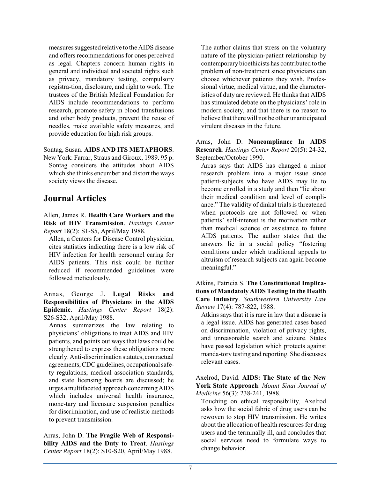measures suggested relative to the AIDS disease and offers recommendations for ones perceived as legal. Chapters concern human rights in general and individual and societal rights such as privacy, mandatory testing, compulsory registra-tion, disclosure, and right to work. The trustees of the British Medical Foundation for AIDS include recommendations to perform research, promote safety in blood transfusions and other body products, prevent the reuse of needles, make available safety measures, and provide education for high risk groups.

Sontag, Susan. **AIDS AND ITS METAPHORS**. New York: Farrar, Straus and Giroux, 1989. 95 p.

Sontag considers the attitudes about AIDS which she thinks encumber and distort the ways society views the disease.

### **Journal Articles**

Allen, James R. **Health Care Workers and the Risk of HIV Transmission**. *Hastings Center Report* 18(2): S1-S5, April/May 1988.

Allen, a Centers for Disease Control physician, cites statistics indicating there is a low risk of HIV infection for health personnel caring for AIDS patients. This risk could be further reduced if recommended guidelines were followed meticulously.

Annas, George J. **Legal Risks and Responsibilities of Physicians in the AIDS Epidemic**. *Hastings Center Report* 18(2): S26-S32, April/May 1988.

Annas summarizes the law relating to physicians' obligations to treat AIDS and HIV patients, and points out ways that laws could be strengthened to express these obligations more clearly. Anti-discrimination statutes, contractual agreements, CDC guidelines, occupational safety regulations, medical association standards, and state licensing boards are discussed; he urges a multifaceted approach concerningAIDS which includes universal health insurance, mone-tary and licensure suspension penalties for discrimination, and use of realistic methods to prevent transmission.

Arras, John D. **The Fragile Web of Responsibility AIDS and the Duty to Treat**. *Hastings Center Report* 18(2): S10-S20, April/May 1988.

The author claims that stress on the voluntary nature of the physician-patient relationship by contemporary bioethicists has contributed to the problem of non-treatment since physicians can choose whichever patients they wish. Professional virtue, medical virtue, and the characteristics of duty are reviewed. He thinks that AIDS has stimulated debate on the physicians' role in modern society, and that there is no reason to believe that there will not be other unanticipated virulent diseases in the future.

Arras, John D. **Noncompliance In AIDS Research**. *Hastings Center Report* 20(5): 24-32, September/October 1990.

Arras says that AIDS has changed a minor research problem into a major issue since patient-subjects who have AIDS may lie to become enrolled in a study and then "lie about their medical condition and level of compliance." The validity of dinkal trials is threatened when protocols are not followed or when patients' self-interest is the motivation rather than medical science or assistance to future AIDS patients. The author states that the answers lie in a social policy "fostering conditions under which traditional appeals to altruism of research subjects can again become meaningful."

Atkins, Patricia S. **The Constitutional Implications of Mandatoiy AIDS Testing In the Health Care Industry**. *Southwestern University Law Review* 17(4): 787-822, 1988.

Atkins says that it is rare in law that a disease is a legal issue. AIDS has generated cases based on discrimination, violation of privacy rights, and unreasonable search and seizure. States have passed legislation which protects against manda-tory testing and reporting. She discusses relevant cases.

Axelrod, David. **AIDS: The State of the New York State Approach**. *Mount Sinai Journal of Medicine* 56(3): 238-241, 1988.

Touching on ethical responsibility, Axelrod asks how the social fabric of drug users can be rewoven to stop HIV transmission. He writes about the allocation of health resources for drug users and the terminally ill, and concludes that social services need to formulate ways to change behavior.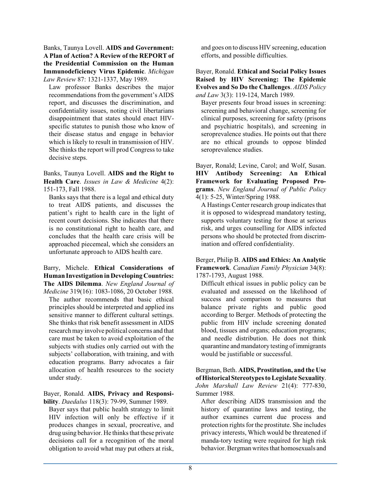Banks, Taunya Lovell. **AIDS and Government: A Plan of Action? A Review of the REPORT of the Presidential Commission on the Human Immunodeficiency Virus Epidemic**. *Michigan Law Review* 87: 1321-1337, May 1989.

Law professor Banks describes the major recommendations from the government's AIDS report, and discusses the discrimination, and confidentiality issues, noting civil libertarians disappointment that states should enact HIVspecific statutes to punish those who know of their disease status and engage in behavior which is likely to result in transmission of HIV. She thinks the report will prod Congress to take decisive steps.

Banks, Taunya Lovell. **AIDS and the Right to Health Care**. *Issues in Law & Medicine* 4(2): 151-173, Fall 1988.

Banks says that there is a legal and ethical duty to treat AIDS patients, and discusses the patient's right to health care in the light of recent court decisions. She indicates that there is no constitutional right to health care, and concludes that the health care crisis will be approached piecemeal, which she considers an unfortunate approach to AIDS health care.

Barry, Michele. **Ethical Considerations of Human Investigation in Developing Countries: The AIDS Dilemma**. *New England Journal of Medicine* 319(16): 1083-1086, 20 October 1988.

The author recommends that basic ethical principles should be interpreted and applied ins sensitive manner to different cultural settings. She thinks that risk benefit assessment in AIDS research may involve political concerns and that care must be taken to avoid exploitation of the subjects with studies only carried out with the subjects' collaboration, with training, and with education programs. Barry advocates a fair allocation of health resources to the society under study.

Bayer, Ronald. **AIDS, Privacy and Responsibility**. *Daedalus* 118(3): 79-99, Summer 1989.

Bayer says that public health strategy to limit HIV infection will only be effective if it produces changes in sexual, procreative, and drug using behavior. He thinks that these private decisions call for a recognition of the moral obligation to avoid what may put others at risk,

and goes on to discuss HIV screening, education efforts, and possible difficulties.

Bayer, Ronald. **Ethical and Social Policy Issues Raised by HIV Screening: The Epidemic Evolves and So Do the Challenges**. *AIDS Policy and Law* 3(3): 119-124, March 1989.

Bayer presents four broad issues in screening: screening and behavioral change, screening for clinical purposes, screening for safety (prisons and psychiatric hospitals), and screening in seroprevalence studies. He points out that there are no ethical grounds to oppose blinded seroprevalence studies.

Bayer, Ronald; Levine, Carol; and Wolf, Susan. **HIV Antibody Screening: An Ethical Framework for Evaluating Proposed Programs**. *New England Journal of Public Policy* 4(1): 5-25, Winter/Spring 1988.

A Hastings Center research group indicates that it is opposed to widespread mandatory testing, supports voluntary testing for those at serious risk, and urges counselling for AIDS infected persons who should be protected from discrimination and offered confidentiality.

Berger, Philip B. **AIDS and Ethics: An Analytic Framework**. *Canadian Family Physician* 34(8): 1787-1793, August 1988.

Difficult ethical issues in public policy can be evaluated and assessed on the likelihood of success and comparison to measures that balance private rights and public good according to Berger. Methods of protecting the public from HIV include screening donated blood, tissues and organs; education programs; and needle distribution. He does not think quarantine and mandatory testing ofimmigrants would be justifiable or successful.

Bergman, Beth. **AIDS, Prostitution, and the Use ofHistorical Stereotypes to Legislate Sexuality**. *John Marshall Law Review* 21(4): 777-830, Summer 1988.

After describing AIDS transmission and the history of quarantine laws and testing, the author examines current due process and protection rights for the prostitute. She includes privacy interests, Which would be threatened if manda-tory testing were required for high risk behavior. Bergman writes that homosexuals and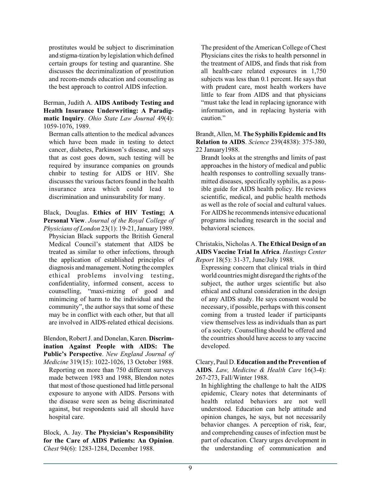prostitutes would be subject to discrimination and stigma-tization by legislation which defined certain groups for testing and quarantine. She discusses the decriminalization of prostitution and recom-mends education and counseling as the best approach to control AIDS infection.

Berman, Judith A. **AIDS Antibody Testing and Health Insurance Underwriting: A Paradigmatic Inquiry**. *Ohio State Law Journal* 49(4): 1059-1076, 1989.

Berman calls attention to the medical advances which have been made in testing to detect cancer, diabetes, Parkinson's disease, and says that as cost goes down, such testing will be required by insurance companies on grounds chnbir to testing for AIDS or HIV. She discusses the various factors found in the health insurance area which could lead to discrimination and uninsurability for many.

Black, Douglas. **Ethics of HIV Testing; A Personal View**. *Journal of the Royal College of*

*Physicians of London* 23(1): 19-21, January 1989. Physician Black supports the British General Medical Council's statement that AIDS be treated as similar to other infections, through the application of established principles of diagnosis and management. Noting the complex ethical problems involving testing, confidentiality, informed consent, access to counselling, "maxi-mizing of good and minimcing of harm to the individual and the community", the author says that some of these may be in conflict with each other, but that all are involved in AIDS-related ethical decisions.

Blendon, RobertJ. and Donelan, Karen. **Discrimination Against People with AIDS: The Public's Perspective**. *New England Journal of*

*Medicine* 319(15): 1022-1026, 13 October 1988. Reporting on more than 750 different surveys made between 1983 and 1988, Blendon notes that most of those questioned had little personal exposure to anyone with AIDS. Persons with the disease were seen as being discriminated against, but respondents said all should have hospital care.

Block, A. Jay. **The Physician's Responsibility for the Care of AIDS Patients: An Opinion**. *Chest* 94(6): 1283-1284, December 1988.

The president of the American College of Chest Physicians cites the risks to health personnel in the treatment of AIDS, and finds that risk from all health-care related exposures in 1,750 subjects was less than 0.1 percent. He says that with prudent care, most health workers have little to fear from AIDS and that physicians "must take the lead in replacing ignorance with information, and in replacing hysteria with caution."

Brandt, Allen, M. **The Syphilis Epidemic and Its Relation to AIDS**. *Science* 239(4838): 375-380, 22 January1988.

Brandt looks at the strengths and limits of past approaches in the history of medical and public health responses to controlling sexually transmitted diseases, specifically syphilis, as a possible guide for AIDS health policy. He reviews scientific, medical, and public health methods as well as the role of social and cultural values. For AIDS he recommends intensive educational programs including research in the social and behavioral sciences.

Christakis, Nicholas A. **The Ethical Design of an AIDS Vaccine Trial In Africa**. *Hastings Center Report* 18(5): 31-37, June/July 1988.

Expressing concern that clinical trials in third world countries might disregard the rights of the subject, the author urges scientific but also ethical and cultural consideration in the design of any AIDS study. He says consent would be necessary, if possible, perhaps with this consent coming from a trusted leader if participants view themselves less as individuals than as part of a society. Counselling should be offered and the countries should have access to any vaccine developed.

Cleary, Paul D. **Education and the Prevention of AIDS**. *Law, Medicine & Health Care* 16(3-4): 267-273, Fall/Winter 1988.

In highlighting the challenge to halt the AIDS epidemic, Cleary notes that determinants of health related behaviors are not well understood. Education can help attitude and opinion changes, he says, but not necessarily behavior changes. A perception of risk, fear, and comprehending causes of infection must be part of education. Cleary urges development in the understanding of communication and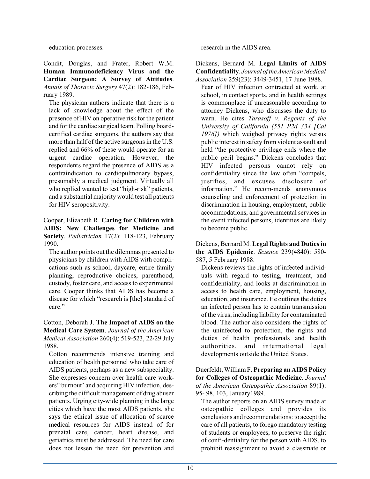education processes.

Condit, Douglas, and Frater, Robert W.M. **Human Immunodeficiency Virus and the Cardiac Surgeon: A Survey of Attitudes**. *Annals of Thoracic Surgery* 47(2): 182-186, February 1989.

The physician authors indicate that there is a lack of knowledge about the effect of the presence of HIV on operative risk for the patient and for the cardiac surgical team. Polling boardcertified cardiac surgeons, the authors say that more than half of the active surgeons in the U.S. replied and 66% of these would operate for an urgent cardiac operation. However, the respondents regard the presence of AIDS as a contraindication to cardiopulmonary bypass, presumably a medical judgment. Virtually all who replied wanted to test "high-risk" patients, and a substantial majority would test all patients for HIV seropositivity.

Cooper, Elizabeth R. **Caring for Children with AIDS: New Challenges for Medicine and Society**. *Pediatrician* 17(2): 118-123, February 1990.

The author points out the dilemmas presented to physicians by children with AIDS with complications such as school, daycare, entire family planning, reproductive choices, parenthood, custody, foster care, and access to experimental care. Cooper thinks that AIDS has become a disease for which "research is [the] standard of care."

Cotton, Deborah J. **The Impact of AIDS on the Medical Care System**. *Journal of the American Medical Association* 260(4): 519-523, 22/29 July 1988.

Cotton recommends intensive training and education of health personnel who take care of AIDS patients, perhaps as a new subspeciality. She expresses concern over health care workers''burnout' and acquiring HIV infection, describing the difficult management of drug abuser patients. Urging city-wide planning in the large cities which have the most AIDS patients, she says the ethical issue of allocation of scarce medical resources for AIDS instead of for prenatal care, cancer, heart disease, and geriatrics must be addressed. The need for care does not lessen the need for prevention and

research in the AIDS area.

Dickens, Bernard M. **Legal Limits of AIDS Confidentiality**. *Journal oftheAmerican Medical Association* 259(23): 3449-3451, 17 June 1988.

Fear of HIV infection contracted at work, at school, in contact sports, and in health settings is commonplace if unreasonable according to attorney Dickens, who discusses the duty to warn. He cites *Tarasoff v. Regents of the University of California (551 P2d 334 [Cal 1976])* which weighed privacy rights versus public interest in safety from violent assault and held "the protective privilege ends where the public peril begins." Dickens concludes that HIV infected persons cannot rely on confidentiality since the law often "compels, justifies, and excuses disclosure of information." He recom-mends anonymous counseling and enforcement of protection in discrimination in housing, employment, public accommodations, and governmental services in the event infected persons, identities are likely to become public.

Dickens, Bernard M. **Legal Rights and Duties in the AIDS Epidemic**. *Science* 239(4840): 580- 587, 5 February 1988.

Dickens reviews the rights of infected individuals with regard to testing, treatment, and confidentiality, and looks at discrimination in access to health care, employment, housing, education, and insurance. He outlines the duties an infected person has to contain transmission of the virus, including liability for contaminated blood. The author also considers the rights of the uninfected to protection, the rights and duties of health professionals and health authorities, and international legal developments outside the United States.

Duerfeldt, WilliamF. **Preparing an AIDS Policy for Colleges of Osteopathic Medicine**. *Journal of the American Osteopathic Association* 89(1): 95- 98, 103, January1989.

The author reports on an AIDS survey made at osteopathic colleges and provides its conclusions and recommendations: to acceptthe care of all patients, to forego mandatory testing of students or employees, to preserve the right of confi-dentiality for the person with AIDS, to prohibit reassignment to avoid a classmate or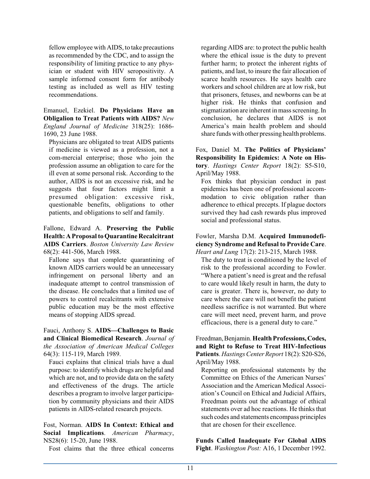fellow employee with AIDS, to take precautions as recommended by the CDC, and to assign the responsibility of limiting practice to any physician or student with HIV seropositivity. A sample informed consent form for antibody testing as included as well as HIV testing recommendations.

Emanuel, Ezekiel. **Do Physicians Have an Obligalion to Treat Patients with AIDS?** *New England Journal of Medicine* 318(25): 1686- 1690, 23 June 1988.

Physicians are obligated to treat AIDS patients if medicine is viewed as a profession, not a com-mercial enterprise; those who join the profession assume an obligation to care for the ill even at some personal risk. According to the author, AIDS is not an excessive risk, and he suggests that four factors might limit a presumed obligation: excessive risk, questionable benefits, obligations to other patients, and obligations to self and family.

Fallone, Edward A. **Preserving the Public Health: A Proposalto Quarantine Recalcitrant AIDS Carriers**. *Boston University Law Review* 68(2): 441-506, March 1988.

Fallone says that complete quarantining of known AIDS carriers would be an unnecessary infringement on personal liberty and an inadequate attempt to control transmission of the disease. He concludes that a limited use of powers to control recalcitrants with extensive public education may be the most effective means of stopping AIDS spread.

Fauci, Anthony S. **AIDS—Challenges to Basic and Clinical Biomedical Research**. *Journal of the Association of American Medical Colleges* 64(3): 115-119, March 1989.

Fauci explains that clinical trials have a dual purpose: to identify which drugs are helpful and which are not, and to provide data on the safety and effectiveness of the drugs. The article describes a program to involve larger participation by community physicians and their AIDS patients in AIDS-related research projects.

Fost, Norman. **AIDS In Context: Ethical and Social Implications**. *American Pharmacy*, NS28(6): 15-20, June 1988.

Fost claims that the three ethical concerns

regarding AIDS are: to protect the public health where the ethical issue is the duty to prevent further harm; to protect the inherent rights of patients, and last, to insure the fair allocation of scarce health resources. He says health care workers and school children are at low risk, but that prisoners, fetuses, and newborns can be at higher risk. He thinks that confusion and stigmatization are inherent in mass screening. In conclusion, he declares that AIDS is not America's main health problem and should share funds with other pressing health problems.

Fox, Daniel M. **The Politics of Physicians' Responsibility In Epidemics: A Note on History**. *Hastings Center Report* 18(2): S5-S10, April/May 1988.

Fox thinks that physician conduct in past epidemics has been one of professional accommodation to civic obligation rather than adherence to ethical precepts. If plague doctors survived they had cash rewards plus improved social and professional status.

Fowler, Marsha D.M. **Acquired Immunodeficiency Syndrome and Refusal to Provide Care**. *Heart and Lung* 17(2): 213-215, March 1988.

The duty to treat is conditioned by the level of risk to the professional according to Fowler. "Where a patient's need is great and the refusal to care would likely result in harm, the duty to care is greater. There is, however, no duty to care where the care will not benefit the patient needless sacrifice is not warranted. But where care will meet need, prevent harm, and prove efficacious, there is a general duty to care."

Freedman,Benjamin. **Health Professions,Codes, and Right to Refuse to Treat HIV-Infectious Patients**. *Hastings Center Report* 18(2): S20-S26, April/May 1988.

Reporting on professional statements by the Committee on Ethics of the American Nurses' Association and the American Medical Association's Council on Ethical and Judicial Affairs, Freedman points out the advantage of ethical statements over ad hoc reactions. He thinks that such codes and statements encompass principles that are chosen for their excellence.

**Funds Called Inadequate For Global AIDS Fight**. *Washington Post:* A16, 1 December 1992.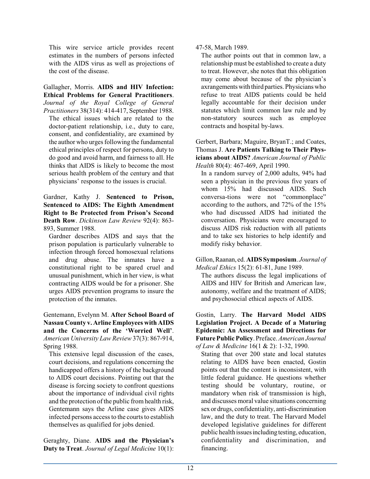This wire service article provides recent estimates in the numbers of persons infected with the AIDS virus as well as projections of the cost of the disease.

Gallagher, Morris. **AIDS and HIV Infection: Ethical Problems for General Practitioners**. *Journal of the Royal College of General*

*Practitioners* 38(314): 414-417, September 1988. The ethical issues which are related to the doctor-patient relationship, i.e., duty to care, consent, and confidentiality, are examined by the author who urges following the fundamental ethical principles of respect for persons, duty to do good and avoid harm, and fairness to all. He thinks that AIDS is likely to become the most serious health problem of the century and that physicians' response to the issues is crucial.

Gardner, Kathy J. **Sentenced to Prison, Sentenced to AIDS: The Eighth Amendment Right to Be Protected from Prison's Second Death Row**. *Dickinson Law Review* 92(4): 863- 893, Summer 1988.

Gardner describes AIDS and says that the prison population is particularly vulnerable to infection through forced homosexual relations and drug abuse. The inmates have a constitutional right to be spared cruel and unusual punishment, which in her view, is what contracting AIDS would be for a prisoner. She urges AIDS prevention programs to insure the protection of the inmates.

Gentemann, Evelynn M. **After School Board of Nassau County v. Arline Employees with AIDS and the Concerns of the 'Worried Well'**. *American University Law Review* 37(3): 867-914, Spring 1988.

This extensive legal discussion of the cases, court decisions, and regulations concerning the handicapped offers a history of the background to AIDS court decisions. Pointing out that the disease is forcing society to confront questions about the importance of individual civil rights and the protection of the public fromhealth risk, Gentemann says the Arline case gives AIDS infected persons access to the courts to establish themselves as qualified for jobs denied.

Geraghty, Diane. **AIDS and the Physician's Duty to Treat**. *Journal of Legal Medicine* 10(1): 47-58, March 1989.

The author points out that in common law, a relationship must be established to create a duty to treat. However, she notes that this obligation may come about because of the physician's axrangementswith third parties. Physicians who refuse to treat AIDS patients could be held legally accountable for their decision under statutes which limit common law rule and by non-statutory sources such as employee contracts and hospital by-laws.

Gerbert, Barbara; Maguire, BryanT.; and Coates, Thomas J. **Are Patients Talking to Their Physicians about AIDS?** *American Journal of Public Health* 80(4): 467-469, April 1990.

In a random survey of 2,000 adults, 94% had seen a physician in the previous five years of whom 15% had discussed AIDS. Such conversa-tions were not "commonplace" according to the authors, and 72% of the 15% who had discussed AIDS had initiated the conversation. Physicians were encouraged to discuss AIDS risk reduction with all patients and to take sex histories to help identify and modify risky behavior.

Gillon,Raanan, ed. **AIDS Symposium**. *Journal of Medical Ethics* 15(2): 61-81, June 1989.

The authors discuss the legal implications of AIDS and HIV for British and American law, autonomy, welfare and the treatment of AIDS; and psychosocial ethical aspects of AIDS.

Gostin, Larry. **The Harvard Model AIDS Legislation Project. A Decade of a Maturing Epidemic: An Assessment and Directions for Future Public Policy**. Preface. *American Journal of Law & Medicine* 16(1 & 2): 1-32, 1990.

Stating that over 200 state and local statutes relating to AIDS have been enacted, Gostin points out that the content is inconsistent, with little federal guidance. He questions whether testing should be voluntary, routine, or mandatory when risk of transmission is high, and discusses moral value situations concerning sex or drugs, confidentiality, anti-discrimination law, and the duty to treat. The Harvard Model developed legislative guidelines for different public health issues including testing, education, confidentiality and discrimination, and financing.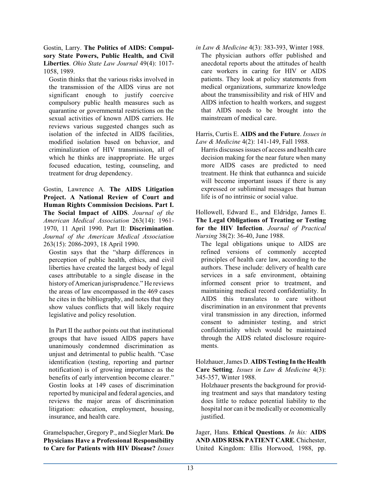Gostin, Larry. **The Politics of AIDS: Compulsory State Powers, Public Health, and Civil Liberties**. *Ohio State Law Journal* 49(4): 1017- 1058, 1989.

Gostin thinks that the various risks involved in the transmission of the AIDS virus are not significant enough to justify coercive compulsory public health measures such as quarantine or governmental restrictions on the sexual activities of known AIDS carriers. He reviews various suggested changes such as isolation of the infected in AIDS facilities, modified isolation based on behavior, and criminalization of HIV transmission, all of which he thinks are inappropriate. He urges focused education, testing, counseling, and treatment for drug dependency.

Gostin, Lawrence A. **The AIDS Litigation Project. A National Review of Court and Human Rights Commission Decisions. Part I. The Social Impact of AIDS**. *Journal of the American Medical Association* 263(14): 1961- 1970, 11 April 1990. Part II: **Discrimination**. *Journal of the American Medical Association* 263(15): 2086-2093, 18 April 1990.

Gostin says that the "sharp differences in perception of public health, ethics, and civil liberties have created the largest body of legal cases attributable to a single disease in the history of American jurisprudence." He reviews the areas of law encompassed in the 469 cases he cites in the bibliography, and notes that they show values conflicts that will likely require legislative and policy resolution.

In Part II the author points out that institutional groups that have issued AIDS papers have unanimously condemned discrimination as unjust and detrimental to public health. "Case identification (testing, reporting and partner notification) is of growing importance as the benefits of early intervention become clearer." Gostin looks at 149 cases of discrimination reported by municipal and federal agencies, and reviews the major areas of discrimination litigation: education, employment, housing, insurance, and health care.

Gramelspacher, Gregory P., and Siegler Mark. **Do Physicians Have a Professional Responsibility to Care for Patients with HIV Disease?** *Issues* *in Law & Medicine* 4(3): 383-393, Winter 1988. The physician authors offer published and anecdotal reports about the attitudes of health care workers in caring for HIV or AIDS patients. They look at policy statements from medical organizations, summarize knowledge about the transmissibility and risk of HIV and AIDS infection to health workers, and suggest that AIDS needs to be brought into the mainstream of medical care.

#### Harris, Curtis E. **AIDS and the Future**. *Issues in Law & Medicine* 4(2): 141-149, Fall 1988.

Harris discusses issues of access and health care decision making for the near future when many more AIDS cases are predicted to need treatment. He think that euthannca and suicide will become important issues if there is any expressed or subliminal messages that human life is of no intrinsic or social value.

Hollowell, Edward E., and Eldridge, James E. **The Legal Obligations of Treating or Testing for the HIV Infection**. *Journal of Practical Nursing* 38(2): 36-40, June 1988.

The legal obligations unique to AIDS are refined versions of commonly accepted principles of health care law, according to the authors. These include: delivery of health care services in a safe environment, obtaining informed consent prior to treatment, and maintaining medical record confidentiality. In AIDS this translates to care without discrimination in an environment that prevents viral transmission in any direction, informed consent to administer testing, and strict confidentiality which would be maintained through the AIDS related disclosure requirements.

Holzhauer, James D. **AIDS Testing In the Health Care Setting**. *Issues in Law & Medicine* 4(3): 345-357, Winter 1988.

Holzhauer presents the background for providing treatment and says that mandatory testing does little to reduce potential liability to the hospital nor can it be medically or economically justified.

Jager, Hans. **Ethical Questions**. *In his:* **AIDS AND AIDS RISKPATIENT CARE**.Chichester, United Kingdom: Ellis Horwood, 1988, pp.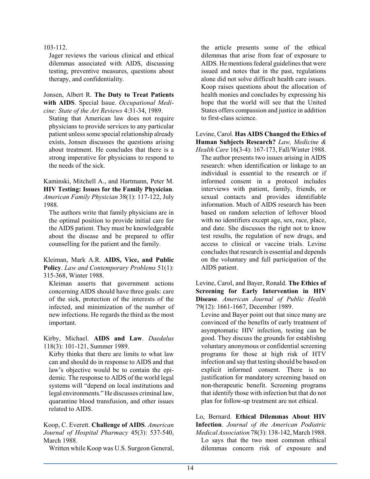#### 103-112.

Jager reviews the various clinical and ethical dilemmas associated with AIDS, discussing testing, preventive measures, questions about therapy, and confidentiality.

Jonsen, Albert R. **The Duty to Treat Patients with AIDS**. Special Issue. *Occupational Medicine: State of the Art Reviews* 4:31-34, 1989.

Stating that American law does not require physicians to provide services to any particular patient unless some special relationship already exists, Jonsen discusses the questions arising about treatment. He concludes that there is a strong imperative for physicians to respond to the needs of the sick.

Kaminski, Mitchell A., and Hartmann, Peter M. **HIV Testing: Issues for the Family Physician**. *American Family Physician* 38(1): 117-122, July 1988.

The authors write that family physicians are in the optimal position to provide initial care for the AIDS patient. They must be knowledgeable about the disease and be prepared to offer counselling for the patient and the family.

Kleiman, Mark A.R. **AIDS, Vice, and Public Policy**. *Law and Contemporary Problems* 51(1): 315-368, Winter 1988.

Kleiman asserts that government actions concerning AIDS should have three goals: care of the sick, protection of the interests of the infected, and minimization of the number of new infections. He regards the third as the most important.

Kirby, Michael. **AIDS and Law**. *Daedalus* 118(3): 101-121, Summer 1989.

Kirby thinks that there are limits to what law can and should do in response to AIDS and that law's objective would be to contain the epidemic. The response to AIDS of the world legal systems will "depend on local institutions and legal environments." He discusses criminal law, quarantine blood transfusion, and other issues related to AIDS.

Koop, C. Everett. **Challenge of AIDS**. *American Journal of Hospital Pharmacy* 45(3): 537-540, March 1988.

Written while Koop was U.S. Surgeon General,

the article presents some of the ethical dilemmas that arise from fear of exposure to AIDS. He mentions federal guidelines that were issued and notes that in the past, regulations alone did not solve difficult health care issues. Koop raises questions about the allocation of health monies and concludes by expressing his hope that the world will see that the United States offers compassion and justice in addition to first-class science.

Levine, Carol. **Has AIDS Changed the Ethics of Human Subjects Research?** *Law, Medicine &*

*Health Care* 16(3-4): 167-173, Fall/Winter 1988. The author presents two issues arising in AIDS research: when identification or linkage to an individual is essential to the research or if informed consent in a protocol includes interviews with patient, family, friends, or sexual contacts and provides identifiable information. Much of AIDS research has been based on random selection of leftover blood with no identifiers except age, sex, race, place, and date. She discusses the right not to know test results, the regulation of new drugs, and access to clinical or vaccine trials. Levine concludes that research is essential and depends on the voluntary and full participation of the AIDS patient.

Levine, Carol, and Bayer, Ronald. **The Ethics of Screening for Early Intervention in HIV Disease**. *American Journal of Public Health* 79(12): 1661-1667, December 1989.

Levine and Bayer point out that since many are convinced of the benefits of early treatment of asymptomatic HIV infection, testing can be good. They discuss the grounds for establishng voluntary anonymous or confidential screening programs for those at high risk of HTV infection and say that testing should be based on explicit informed consent. There is no justification for mandatory screening based on non-therapeutic benefit. Screening programs that identify those with infection but that do not plan for follow-up treatment are not ethical.

Lo, Bernard. **Ethical Dilemmas About HIV Infection**. *Journal of the American Podiatric Medical Association* 78(3): 138-142, March 1988. Lo says that the two most common ethical dilemmas concern risk of exposure and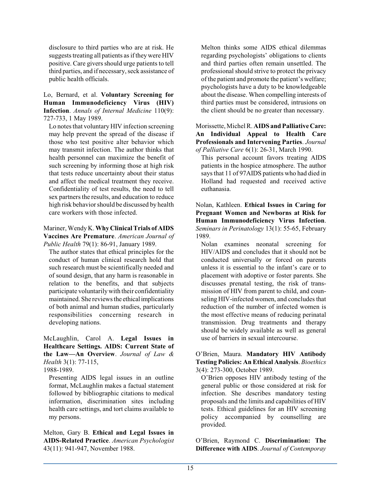disclosure to third parties who are at risk. He suggests treating all patients as ifthey were HIV positive. Care givers should urge patients to tell third parties, and if necessary, seck assistance of public health officials.

Lo, Bernard, et al. **Voluntary Screening for Human Immunodeficiency Virus (HIV) Infection**. *Annals of Internal Medicine* 110(9): 727-733, 1 May 1989.

Lo notes that voluntary HIV infection screening may help prevent the spread of the disease if those who test positive alter behavior which may transmit infection. The author thinks that health personnel can maximize the benefit of such screening by informing those at high risk that tests reduce uncertainty about their status and affect the medical treatment they receive. Confidentiality of test results, the need to tell sex partners the results, and education to reduce high risk behaviorshould be discussed by health care workers with those infected.

#### Mariner, Wendy K. **Why ClinicalTrials of AIDS Vaccines Are Premature**. *American Journal of Public Health* 79(1): 86-91, January 1989.

The author states that ethical principles for the conduct of human clinical research hold that such research must be scientifically needed and of sound design, that any harm is reasonable in relation to the benefits, and that subjects participate voluntarily with their confidentiality maintained. She reviews the ethical implications of both animal and human studies, particularly responsibilities concerning research in developing nations.

McLaughlin, Carol A. **Legal Issues in Healthcare Settings. AIDS: Current State of the Law—An Overview**. *Journal of Law & Health* 3(1): 77-115,

1988-1989.

Presenting AIDS legal issues in an outline format, McLaughlin makes a factual statement followed by bibliographic citations to medical information, discrimination sites including health care settings, and tort claims available to my persons.

Melton, Gary B. **Ethical and Legal Issues in AIDS-Related Practice**. *American Psychologist* 43(11): 941-947, November 1988.

Melton thinks some AIDS ethical dilemmas regarding psychologists' obligations to clients and third parties often remain unsettled. The professional should strive to protect the privacy of the patient and promote the patient's welfare; psychologists have a duty to be knowledgeable about the disease. When compelling interests of third parties must be considered, intrusions on the client should be no greater than necessary.

Morissette, MichelR. **AIDS and Palliative Care: An Individual Appeal to Health Care Professionals and Intervening Parties**. *Journal of Palliative Care* 6(1): 26-31, March 1990.

This personal account favors treating AIDS patients in the hospice atmosphere. The author says that 11 of 97AIDS patients who had died in Holland had requested and received active euthanasia.

Nolan, Kathleen. **Ethical Issues in Caring for Pregnant Women and Newborns at Risk for Human Immunodeficiency Virus Infection**. *Seminars in Perinatology* 13(1): 55-65, February 1989.

Nolan examines neonatal screening for HIV/AIDS and concludes that it should not be conducted universally or forced on parents unless it is essential to the infant's care or to placement with adoptive or foster parents. She discusses prenatal testing, the risk of transmission of HIV from parent to child, and counseling HIV-infected women, and concludes that reduction of the number of infected women is the most effective means of reducing perinatal transmission. Drug treatments and therapy should be widely available as well as general use of barriers in sexual intercourse.

### O'Brien, Maura. **Mandatory HIV Antibody Testing Policies: An Ethical Analysis**. *Bioethics* 3(4): 273-300, October 1989.

O'Brien opposes HIV antibody testing of the general public or those considered at risk for infection. She describes mandatory testing proposals and the limits and capabilities of HIV tests. Ethical guidelines for an HIV screening policy accompanied by counselling are provided.

O'Brien, Raymond C. **Discrimination: The Difference with AIDS**. *Journal of Contemporay*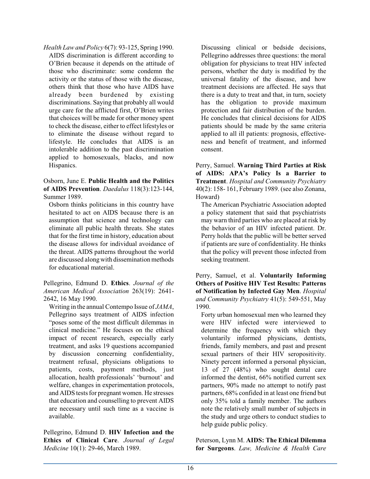*Health Law and Policy* 6(7): 93-125, Spring 1990. AIDS discrimination is different according to O'Brien because it depends on the attitude of those who discriminate: some condemn the activity or the status of those with the disease, others think that those who have AIDS have already been burdened by existing discriminations. Saying that probably all would urge care for the afflicted first, O'Brien writes that choices will be made for other money spent to check the disease, either to effect lifestyles or to eliminate the disease without regard to lifestyle. He concludes that AIDS is an intolerable addition to the past discrimination applied to homosexuals, blacks, and now Hispanics.

### Osborn, June E. **Public Health and the Politics of AIDS Prevention**. *Daedalus* 118(3):123-144, Summer 1989.

Osborn thinks politicians in this country have hesitated to act on AIDS because there is an assumption that science and technology can eliminate all public health threats. She states that for the first time in history, education about the disease allows for individual avoidance of the threat. AIDS patterns throughout the world are discussed alongwith dissemination methods for educational material.

Pellegrino, Edmund D. **Ethics**. *Journal of the American Medical Association* 263(19): 2641- 2642, 16 May 1990.

Writing in the annual Contempo Issue of *JAMA*, Pellegrino says treatment of AIDS infection "poses some of the most difficult dilemmas in clinical medicine." He focuses on the ethical impact of recent research, especially early treatment, and asks 19 questions accompanied by discussion concerning confidentiality, treatment refusal, physicians obligations to patients, costs, payment methods, just allocation, health professionals' 'burnout' and welfare, changes in experimentation protocols, and AIDS tests for pregnant women. He stresses that education and counselling to prevent AIDS are necessary until such time as a vaccine is available.

Pellegrino, Edmund D. **HIV Infection and the Ethics of Clinical Care**. *Journal of Legal Medicine* 10(1): 29-46, March 1989.

Discussing clinical or bedside decisions, Pellegrino addresses three questions: the moral obligation for physicians to treat HIV infected persons, whether the duty is modified by the universal fatality of the disease, and how treatment decisions are affected. He says that there is a duty to treat and that, in turn, society has the obligation to provide maximum protection and fair distribution of the burden. He concludes that clinical decisions for AIDS patients should be made by the same criteria applied to all ill patients: prognosis, effectiveness and benefit of treatment, and informed consent.

Perry, Samuel. **Warning Third Parties at Risk of AIDS: APA's Policy Is a Barrier to Treatment**. *Hospital and Community Psychiatry* 40(2): 158- 161, February 1989. (see also Zonana, Howard)

The American Psychiatric Association adopted a policy statement that said that psychiatrists may warn third parties who are placed at risk by the behavior of an HIV infected patient. Dr. Perry holds that the public will be better served if patients are sure of confidentiality. He thinks that the policy will prevent those infected from seeking treatment.

Perry, Samuel, et al. **Voluntarily Informing Others of Positive HIV Test Results: Patterns of Notification by Infected Gay Men**. *Hospital and Community Psychiatry* 41(5): 549-551, May 1990.

Forty urban homosexual men who learned they were HIV infected were interviewed to determine the frequency with which they voluntarily informed physicians, dentists, friends, family members, and past and present sexual partners of their HIV seropositivity. Ninety percent informed a personal physician, 13 of 27 (48%) who sought dental care informed the dentist, 66% notified current sex partners, 90% made no attempt to notify past partners, 68% confided in at least one friend but only 35% told a family member. The authors note the relatively small number of subjects in the study and urge others to conduct studies to help guide public policy.

Peterson, Lynn M. **AIDS: The Ethical Dilemma for Surgeons**. *Law, Medicine & Health Care*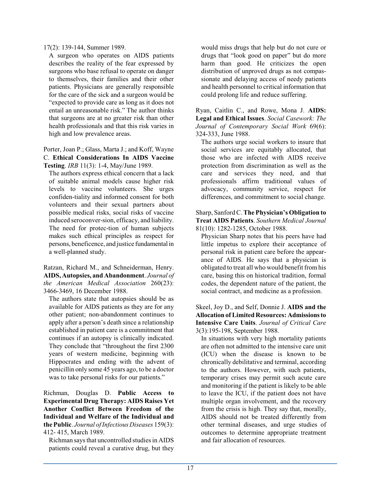17(2): 139-144, Summer 1989.

A surgeon who operates on AIDS patients describes the reality of the fear expressed by surgeons who base refusal to operate on danger to themselves, their families and their other patients. Physicians are generally responsible for the care of the sick and a surgeon would be "expected to provide care as long as it does not entail an unreasonable risk." The author thinks that surgeons are at no greater risk than other health professionals and that this risk varies in high and low prevalence areas.

Porter, Joan P.; Glass, Marta J.; and Koff, Wayne C. **Ethical Considerations In AIDS Vaccine Testing**. *IRB* 11(3): 1-4, May/June 1989.

The authors express ethical concern that a lack of suitable animal models cause higher risk levels to vaccine volunteers. She urges confiden-tiality and informed consent for both volunteers and their sexual partners about possible medical risks, social risks of vaccine induced seroconver-sion, efficacy, and liability. The need for protec-tion of human subjects makes such ethical principles as respect for persons, beneficence, and justice fundamentalin a well-planned study.

Ratzan, Richard M., and Schneiderman, Henry. **AIDS, Autopsies, and Abandonment**. *Journal of the American Medical Association* 260(23): 3466-3469, 16 December 1988.

The authors state that autopsies should be as available for AIDS patients as they are for any other patient; non-abandonment continues to apply after a person's death since a relationship established in patient care is a commitment that continues if an autopsy is clinically indicated. They conclude that "throughout the first 2300 years of western medicine, beginning with Hippocrates and ending with the advent of penicillin only some 45 years ago, to be a doctor was to take personal risks for our patients."

Richman, Douglas D. **Public Access to Experimental Drug Therapy: AIDS Raises Yet Another Conflict Between Freedom of the Individual and Welfare of the Individual and the Public**. *Journal ofInfectious Diseases* 159(3): 412- 415, March 1989.

Richman says that uncontrolled studies in AIDS patients could reveal a curative drug, but they would miss drugs that help but do not cure or drugs that "look good on paper" but do more harm than good. He criticizes the open distribution of unproved drugs as not compassionate and delaying access of needy patients and health personnel to critical information that could prolong life and reduce suffering.

Ryan, Caitlin C., and Rowe, Mona J. **AIDS: Legal and Ethical Issues**. *Social Casework: The Journal of Contemporary Social Work* 69(6): 324-333, June 1988.

The authors urge social workers to insure that social services are equitably allocated, that those who are infected with AIDS receive protection from discrimination as well as the care and services they need, and that professionals affirm traditional values of advocacy, community service, respect for differences, and commitment to social change.

Sharp, Sanford C. **The Physician's Obligation to Treat AIDS Patients**. *Southern Medical Journal* 81(10): 1282-1285, October 1988.

Physician Sharp notes that his peers have had little impetus to explore their acceptance of personal risk in patient care before the appearance of AIDS. He says that a physician is obligated to treat all who would benefit fromhis care, basing this on historical tradition, formal codes, the dependent nature of the patient, the social contract, and medicine as a profession.

Skeel, Joy D., and Self, Donnie J. **AIDS and the Allocation ofLimited Resources: Admissionsto Intensive Care Units**. *Journal of Critical Care* 3(3):195-198, September 1988.

In situations with very high mortality patients are often not admitted to the intensive care unit (ICU) when the disease is known to be chronically debilitative and terminal, according to the authors. However, with such patients, temporary crises may permit such acute care and monitoring if the patient is likely to be able to leave the ICU, if the patient does not have multiple organ involvement, and the recovery from the crisis is high. They say that, morally, AIDS should not be treated differently from other terminal diseases, and urge studies of outcomes to determine appropriate treatment and fair allocation of resources.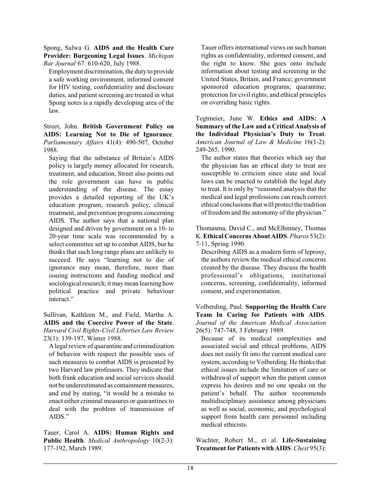Spong, Salwa G. **AIDS and the Health Care Provider: Burgeoning Legal Issues**. *Michigan Bar Journal* 67: 610-620, July 1988.

Employment discrimination, the duty to provide a safe working environment, informed consent for HIV testing, confidentiality and disclosure duties, and patient screening are treated in what Spong notes is a rapidly developing area of the law.

Street, John. **British Government Policy on AIDS: Learning Not to Die of Ignorance**. *Parliamentary Affairs* 41(4): 490-507, October 1988.

Saying that the substance of Britain's AIDS policy is largely money allocated for research, treatment, and education, Street also points out the role government can have in public understanding of the disease. The essay provides a detailed reporting of the UK's education program, research policy, clinical treatment, and prevention programs concerning AIDS. The author says that a national plan designed and driven by government on a 10- to 20-year time scale was recommended by a select committee set up to combat AIDS, but he thinks that such long range plans are unlikely to succeed. He says "learning not to die of ignorance may mean, therefore, more than issuing instructions and funding medical and sociological research; it may mean learning how political practice and private behaviour interact."

Sullivan, Kathleen M., and Field, Martha A. **AIDS and the Coercive Power of the State**. *Harvard Civil Rights-Civil Liberties Law Review* 23(1): 139-197, Winter 1988.

A legal review of quarantine and criminalization of behavior with respect the possible uses of such measures to combat AIDS is presented by two Harvard law professors. They indicate that both frank education and social services should not be underestimated as containment measures, and end by stating, "it would be a mistake to enact either criminal measures or quarantines to deal with the problem of transmission of AIDS."

Tauer, Carol A. **AIDS: Human Rights and Public Health**. *Medical Anthropology* 10(2-3): 177-192, March 1989.

Tauer offers international views on such human rights as confidentiality, informed consent, and the right to know. She goes onto include information about testing and screening in the United States, Britain, and France; government sponsored education programs; quarantine; protection for civil rights; and ethical principles on overriding basic rights.

Tegtmeier, June W. **Ethics and AIDS: A Summary of the Law and a Critical Analysis of the Individual Physician's Duty to Treat**. *American Journal of Law & Medicine* 16(1-2): 249-265, 1990.

The author states that theories which say that the physician has an ethical duty to treat are susceptible to criticism since state and local laws can be enacted to establish the legal duty to treat. It is only by "reasoned analysis that the medical and legal professions can reach correct ethical conclusions that will protect the tradition of freedom and the autonomy of the physician."

Thomasma, David C., and McElhinney, Thomas K. **Ethical Concerns About AIDS**. *Pharos* 53(2): 7-11, Spring 1990.

Describing AIDS as a modern form of leprosy, the authors review the medical ethical concerns created by the disease. They discuss the health professional's obligations, institutional concerns, screening, confidentiality, informed consent, and experimentation.

Volberding, Paul. **Supporting the Health Care Team In Caring for Patients with AIDS**. *Journal of the American Medical Association* 26(5): 747-748, 3 February 1989.

Because of its medical complexities and associated social and ethical problems, AIDS does not easily fit into the current medical care system, according to Volberding. He thinks that ethical issues include the limitation of care or withdrawal of support when the patient cannot express his desires and no one speaks on the patient's behalf. The author recommends multidisciplinaiy assistance among physicians as well as social, economic, and psychological support from health care personnel including medical ethicists.

Wachter, Robert M., et al. **Life-Sustaining Treatment for Patients with AIDS**. *Chest* 95(3):